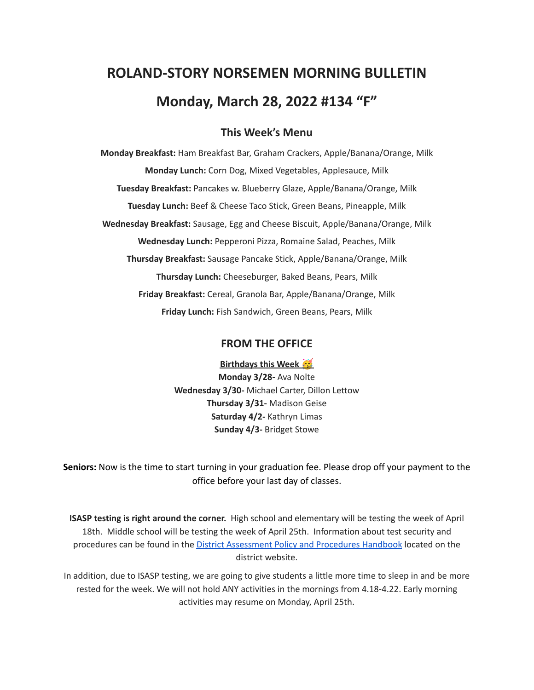# **ROLAND-STORY NORSEMEN MORNING BULLETIN Monday, March 28, 2022 #134 "F"**

## **This Week's Menu**

**Monday Breakfast:** Ham Breakfast Bar, Graham Crackers, Apple/Banana/Orange, Milk **Monday Lunch:** Corn Dog, Mixed Vegetables, Applesauce, Milk **Tuesday Breakfast:** Pancakes w. Blueberry Glaze, Apple/Banana/Orange, Milk **Tuesday Lunch:** Beef & Cheese Taco Stick, Green Beans, Pineapple, Milk **Wednesday Breakfast:** Sausage, Egg and Cheese Biscuit, Apple/Banana/Orange, Milk **Wednesday Lunch:** Pepperoni Pizza, Romaine Salad, Peaches, Milk **Thursday Breakfast:** Sausage Pancake Stick, Apple/Banana/Orange, Milk **Thursday Lunch:** Cheeseburger, Baked Beans, Pears, Milk **Friday Breakfast:** Cereal, Granola Bar, Apple/Banana/Orange, Milk **Friday Lunch:** Fish Sandwich, Green Beans, Pears, Milk

#### **FROM THE OFFICE**

**Birthdays this Week Monday 3/28-** Ava Nolte **Wednesday 3/30-** Michael Carter, Dillon Lettow **Thursday 3/31-** Madison Geise **Saturday 4/2-** Kathryn Limas **Sunday 4/3-** Bridget Stowe

**Seniors:** Now is the time to start turning in your graduation fee. Please drop off your payment to the office before your last day of classes.

**ISASP testing is right around the corner.** High school and elementary will be testing the week of April 18th. Middle school will be testing the week of April 25th. Information about test security and procedures can be found in the District [Assessment](https://rolandstory.school/media/Michelle%20Soderstrum/RSCSD_District_Assessment_Poli%20-%20Copy%203.pdf) Policy and Procedures Handbook located on the district website.

In addition, due to ISASP testing, we are going to give students a little more time to sleep in and be more rested for the week. We will not hold ANY activities in the mornings from 4.18-4.22. Early morning activities may resume on Monday, April 25th.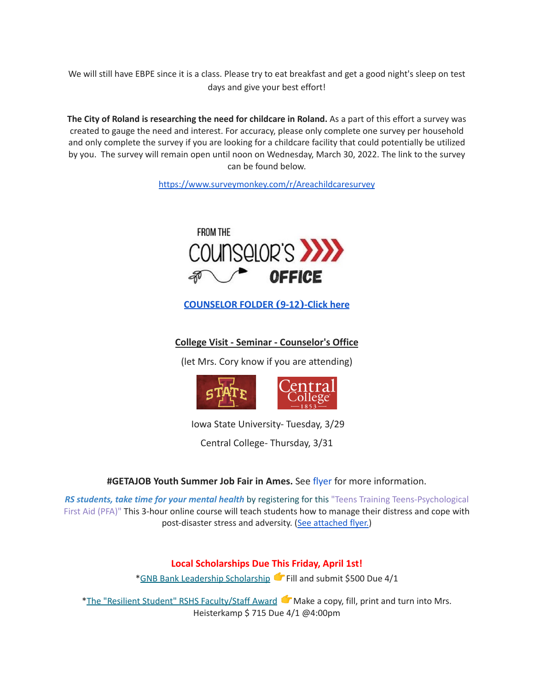We will still have EBPE since it is a class. Please try to eat breakfast and get a good night's sleep on test days and give your best effort!

**The City of Roland is researching the need for childcare in Roland.** As a part of this effort a survey was created to gauge the need and interest. For accuracy, please only complete one survey per household and only complete the survey if you are looking for a childcare facility that could potentially be utilized by you. The survey will remain open until noon on Wednesday, March 30, 2022. The link to the survey can be found below.

<https://www.surveymonkey.com/r/Areachildcaresurvey>



**[COUNSELOR FOLDER](https://docs.google.com/document/d/1vmwczNPbDzXe9vFaG5LJMQ7NYDv-i4oQJHybqA65TUc/edit?usp=sharing) (9-12)-Click here**

**College Visit - Seminar - Counselor's Office**

(let Mrs. Cory know if you are attending)



Iowa State University- Tuesday, 3/29

Central College- Thursday, 3/31

**#GETAJOB Youth Summer Job Fair in Ames.** See [flyer](https://drive.google.com/file/d/19PRxPHgJE0Wyssa45Q2YrSued6K3SDaH/view?usp=sharing) for more information.

*RS students, take time for your mental health* by registering for this "Teens Training Teens-Psychological First Aid (PFA)" This 3-hour online course will teach students how to manage their distress and cope with post-disaster stress and adversity. (See [attached](https://drive.google.com/file/d/18ZxsDgb9mTVccDP5AD1ejwqoEi1MNUwE/view?usp=sharing) flyer.)

### **Local Scholarships Due This Friday, April 1st!**

\*GNB Bank Leadership [Scholarship](https://www.gnbbank.com/resources/story-city-leadership-scholarship) Fill and submit \$500 Due 4/1

\*The "Resilient Student" RSHS [Faculty/Staff](https://docs.google.com/document/d/1DolWUUWkhc9uRV9cDZrlwnYTIr44UcPiFxY4Xkupsj0/edit?usp=sharing) Award Make a copy, fill, print and turn into Mrs. Heisterkamp \$ 715 Due 4/1 @4:00pm